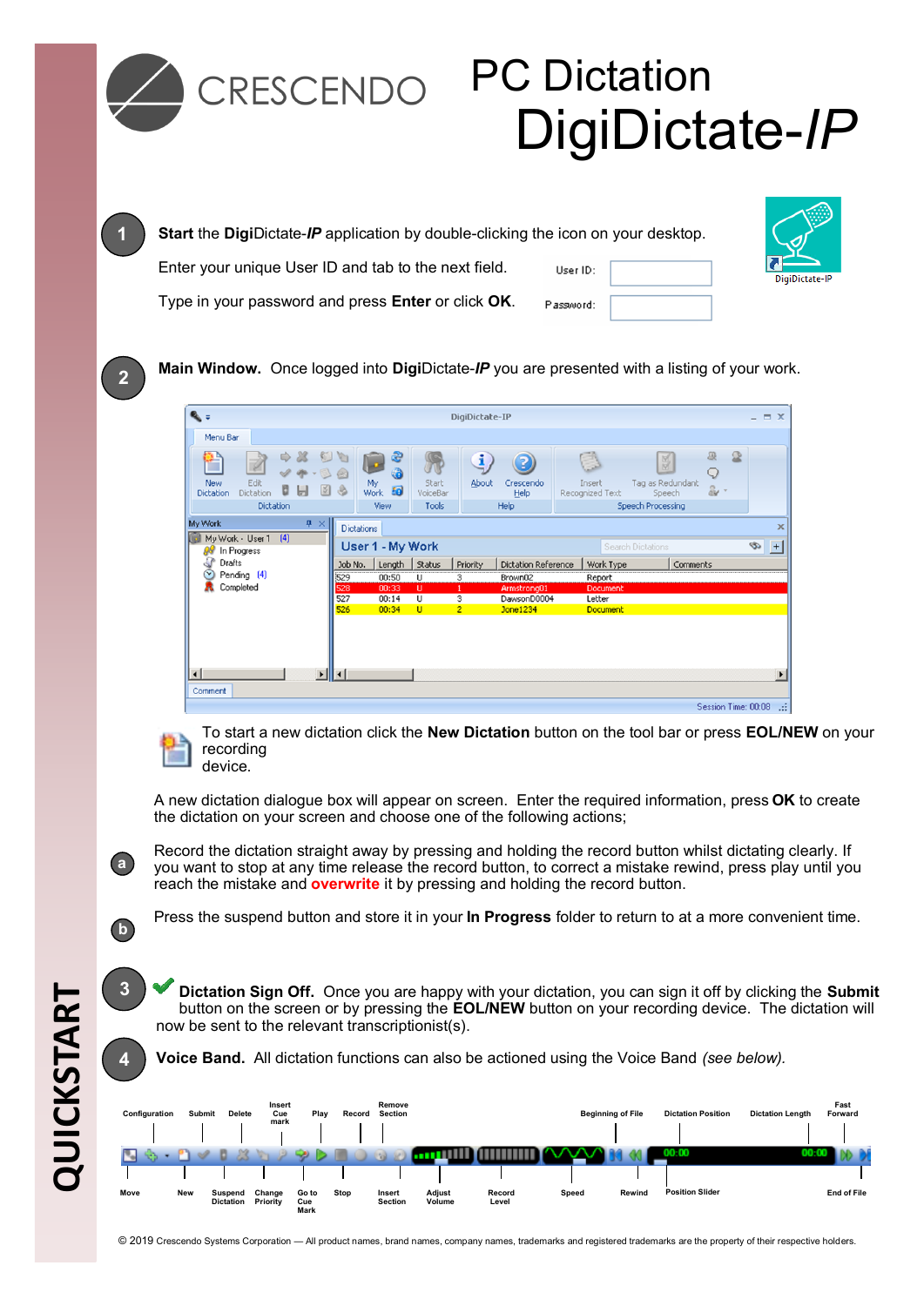

## CRESCENDO PC Dictation DigiDictate-*IP*

| <b>Start</b> the DigiDictate-IP application by double-clicking the icon on your desktop. |            |  |
|------------------------------------------------------------------------------------------|------------|--|
| Enter your unique User ID and tab to the next field.                                     | User ID:   |  |
| Type in your password and press <b>Enter</b> or click OK.                                | Plassword: |  |



**Main Window.** Once logged into **Digi**Dictate-*IP* you are presented with a listing of your work.





To start a new dictation click the **New Dictation** button on the tool bar or press **EOL/NEW** on your recording device.

A new dictation dialogue box will appear on screen. Enter the required information, press **OK** to create the dictation on your screen and choose one of the following actions;

Record the dictation straight away by pressing and holding the record button whilst dictating clearly. If you want to stop at any time release the record button, to correct a mistake rewind, press play until you reach the mistake and **overwrite** it by pressing and holding the record button.

Press the suspend button and store it in your **In Progress** folder to return to at a more convenient time.

**Dictation Sign Off.** Once you are happy with your dictation, you can sign it off by clicking the **Submit**  button on the screen or by pressing the **EOL/NEW** button on your recording device. The dictation will now be sent to the relevant transcriptionist(s).

**4 Voice Band.** All dictation functions can also be actioned using the Voice Band *(see below).*



**3**

**a**

**1**

**2**

**b**